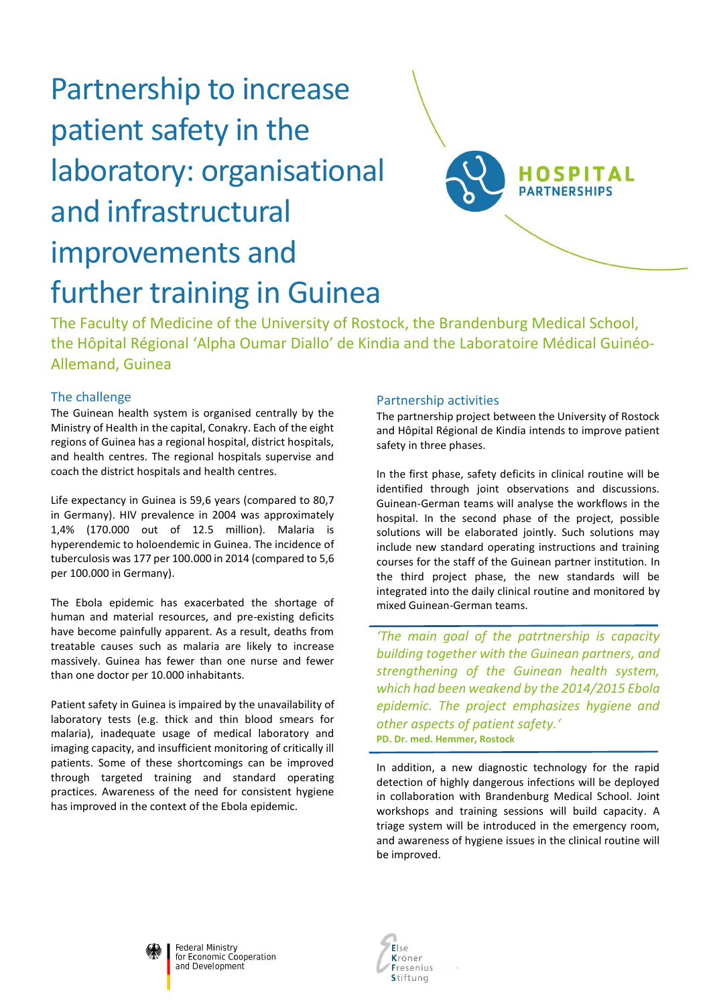# Partnership to increase patient safety in the laboratory: organisational and infrastructural improvements and further training in Guinea



The Faculty of Medicine of the University of Rostock, the Brandenburg Medical School, the Hôpital Régional 'Alpha Oumar Diallo' de Kindia and the Laboratoire Médical Guinéo-Allemand, Guinea

# The challenge

The Guinean health system is organised centrally by the Ministry of Health in the capital, Conakry. Each of the eight regions of Guinea has a regional hospital, district hospitals, and health centres. The regional hospitals supervise and coach the district hospitals and health centres.

Life expectancy in Guinea is 59,6 years (compared to 80,7 in Germany). HIV prevalence in 2004 was approximately 1,4% (170.000 out of 12.5 million). Malaria is hyperendemic to holoendemic in Guinea. The incidence of tuberculosis was 177 per 100.000 in 2014 (compared to 5,6 per 100.000 in Germany).

The Ebola epidemic has exacerbated the shortage of human and material resources, and pre-existing deficits have become painfully apparent. As a result, deaths from treatable causes such as malaria are likely to increase massively. Guinea has fewer than one nurse and fewer than one doctor per 10.000 inhabitants.

Patient safety in Guinea is impaired by the unavailability of laboratory tests (e.g. thick and thin blood smears for malaria), inadequate usage of medical laboratory and imaging capacity, and insufficient monitoring of critically ill patients. Some of these shortcomings can be improved through targeted training and standard operating practices. Awareness of the need for consistent hygiene has improved in the context of the Ebola epidemic.

### Partnership activities

The partnership project between the University of Rostock and Hôpital Régional de Kindia intends to improve patient safety in three phases.

In the first phase, safety deficits in clinical routine will be identified through joint observations and discussions. Guinean-German teams will analyse the workflows in the hospital. In the second phase of the project, possible solutions will be elaborated jointly. Such solutions may include new standard operating instructions and training courses for the staff of the Guinean partner institution. In the third project phase, the new standards will be integrated into the daily clinical routine and monitored by mixed Guinean-German teams.

*'The main goal of the patrtnership is capacity building together with the Guinean partners, and strengthening of the Guinean health system, which had been weakend by the 2014/2015 Ebola epidemic. The project emphasizes hygiene and other aspects of patient safety.'* **PD. Dr. med. Hemmer, Rostock**

In addition, a new diagnostic technology for the rapid detection of highly dangerous infections will be deployed in collaboration with Brandenburg Medical School. Joint workshops and training sessions will build capacity. A triage system will be introduced in the emergency room, and awareness of hygiene issues in the clinical routine will be improved.